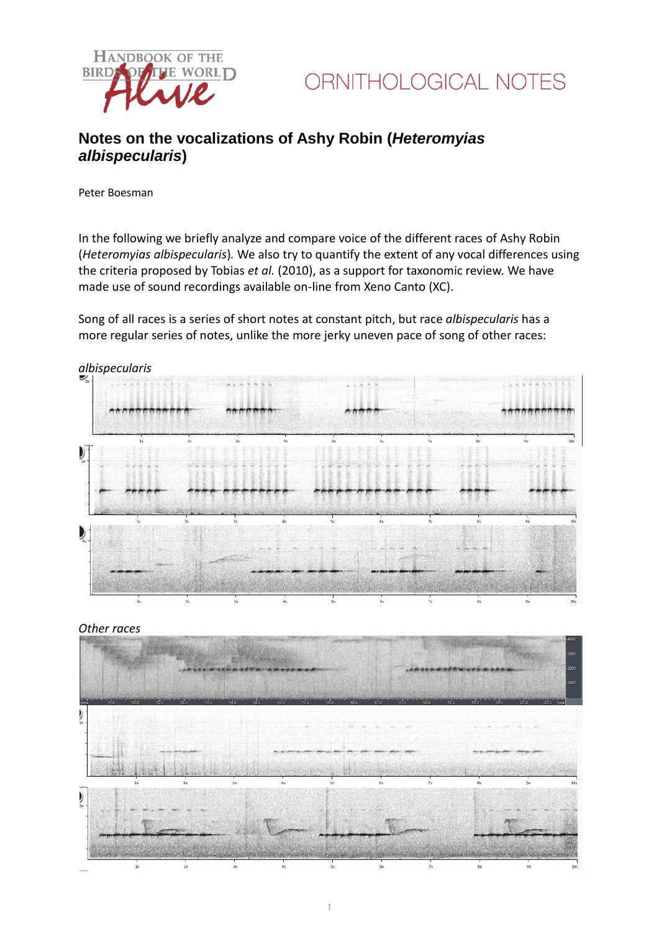



## **Notes on the vocalizations of Ashy Robin (***Heteromyias albispecularis***)**

Peter Boesman

In the following we briefly analyze and compare voice of the different races of Ashy Robin (*Heteromyias albispecularis*)*.* We also try to quantify the extent of any vocal differences using the criteria proposed by Tobias *et al.* (2010), as a support for taxonomic review. We have made use of sound recordings available on-line from Xeno Canto (XC).

Song of all races is a series of short notes at constant pitch, but race *albispecularis* has a more regular series of notes, unlike the more jerky uneven pace of song of other races:



### *Other races*